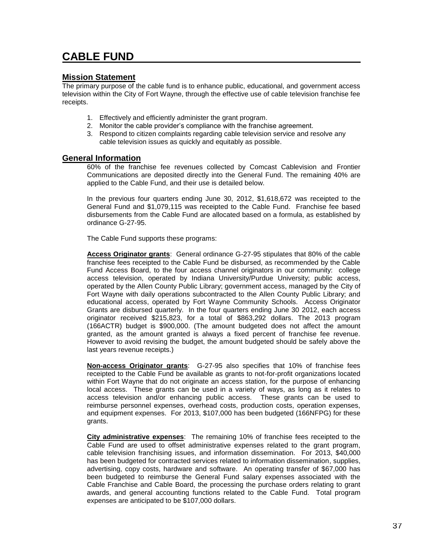## **CABLE FUND**

## **Mission Statement**

The primary purpose of the cable fund is to enhance public, educational, and government access television within the City of Fort Wayne, through the effective use of cable television franchise fee receipts.

- 1. Effectively and efficiently administer the grant program.
- 2. Monitor the cable provider's compliance with the franchise agreement.
- 3. Respond to citizen complaints regarding cable television service and resolve any cable television issues as quickly and equitably as possible.

## **General Information**

60% of the franchise fee revenues collected by Comcast Cablevision and Frontier Communications are deposited directly into the General Fund. The remaining 40% are applied to the Cable Fund, and their use is detailed below.

In the previous four quarters ending June 30, 2012, \$1,618,672 was receipted to the General Fund and \$1,079,115 was receipted to the Cable Fund. Franchise fee based disbursements from the Cable Fund are allocated based on a formula, as established by ordinance G-27-95.

The Cable Fund supports these programs:

**Access Originator grants**: General ordinance G-27-95 stipulates that 80% of the cable franchise fees receipted to the Cable Fund be disbursed, as recommended by the Cable Fund Access Board, to the four access channel originators in our community: college access television, operated by Indiana University/Purdue University; public access, operated by the Allen County Public Library; government access, managed by the City of Fort Wayne with daily operations subcontracted to the Allen County Public Library; and educational access, operated by Fort Wayne Community Schools. Access Originator Grants are disbursed quarterly. In the four quarters ending June 30 2012, each access originator received \$215,823, for a total of \$863,292 dollars. The 2013 program (166ACTR) budget is \$900,000. (The amount budgeted does not affect the amount granted, as the amount granted is always a fixed percent of franchise fee revenue. However to avoid revising the budget, the amount budgeted should be safely above the last years revenue receipts.)

**Non-access Originator grants**: G-27-95 also specifies that 10% of franchise fees receipted to the Cable Fund be available as grants to not-for-profit organizations located within Fort Wayne that do not originate an access station, for the purpose of enhancing local access. These grants can be used in a variety of ways, as long as it relates to access television and/or enhancing public access. These grants can be used to reimburse personnel expenses, overhead costs, production costs, operation expenses, and equipment expenses. For 2013, \$107,000 has been budgeted (166NFPG) for these grants.

**City administrative expenses**: The remaining 10% of franchise fees receipted to the Cable Fund are used to offset administrative expenses related to the grant program, cable television franchising issues, and information dissemination. For 2013, \$40,000 has been budgeted for contracted services related to information dissemination, supplies, advertising, copy costs, hardware and software. An operating transfer of \$67,000 has been budgeted to reimburse the General Fund salary expenses associated with the Cable Franchise and Cable Board, the processing the purchase orders relating to grant awards, and general accounting functions related to the Cable Fund. Total program expenses are anticipated to be \$107,000 dollars.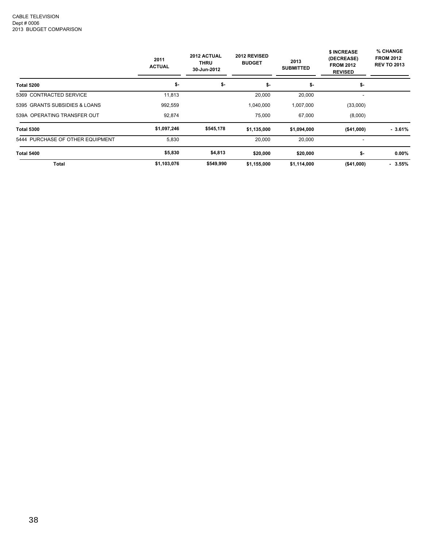|                                  | 2012 ACTUAL<br>2011<br><b>THRU</b><br><b>ACTUAL</b><br>30-Jun-2012 |           | 2012 REVISED<br><b>BUDGET</b> | 2013<br><b>SUBMITTED</b> | \$ INCREASE<br>(DECREASE)<br><b>FROM 2012</b><br><b>REVISED</b> | % CHANGE<br><b>FROM 2012</b><br><b>REV TO 2013</b> |
|----------------------------------|--------------------------------------------------------------------|-----------|-------------------------------|--------------------------|-----------------------------------------------------------------|----------------------------------------------------|
| <b>Total 5200</b>                | \$-                                                                | \$-       | \$-                           | \$-                      | \$-                                                             |                                                    |
| 5369 CONTRACTED SERVICE          | 11,813                                                             |           | 20,000                        | 20,000                   |                                                                 |                                                    |
| 5395 GRANTS SUBSIDIES & LOANS    | 992,559                                                            |           | 1,040,000                     | 1,007,000                | (33,000)                                                        |                                                    |
| 539A OPERATING TRANSFER OUT      | 92,874                                                             |           | 75,000                        | 67,000                   | (8,000)                                                         |                                                    |
| <b>Total 5300</b>                | \$1,097,246                                                        | \$545,178 | \$1,135,000                   | \$1,094,000              | ( \$41,000)                                                     | - 3.61%                                            |
| 5444 PURCHASE OF OTHER EQUIPMENT | 5,830                                                              |           | 20,000                        | 20,000                   | ٠                                                               |                                                    |
| <b>Total 5400</b>                | \$5,830                                                            | \$4,813   | \$20,000                      | \$20,000                 | \$-                                                             | $0.00\%$                                           |
| Total                            | \$1,103,076                                                        | \$549,990 | \$1,155,000                   | \$1,114,000              | ( \$41,000)                                                     | $-3.55%$                                           |